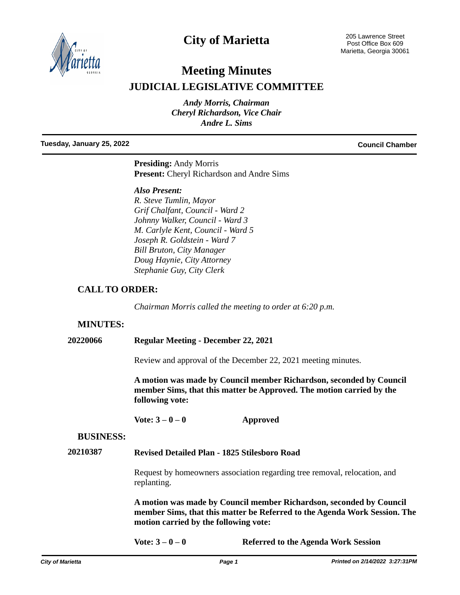

# **City of Marietta**

205 Lawrence Street Post Office Box 609 Marietta, Georgia 30061

# **Meeting Minutes JUDICIAL LEGISLATIVE COMMITTEE**

*Andy Morris, Chairman Cheryl Richardson, Vice Chair Andre L. Sims*

#### **Tuesday, January 25, 2022 Council Chamber**

**Presiding:** Andy Morris **Present:** Cheryl Richardson and Andre Sims

#### *Also Present:*

*R. Steve Tumlin, Mayor Grif Chalfant, Council - Ward 2 Johnny Walker, Council - Ward 3 M. Carlyle Kent, Council - Ward 5 Joseph R. Goldstein - Ward 7 Bill Bruton, City Manager Doug Haynie, City Attorney Stephanie Guy, City Clerk*

# **CALL TO ORDER:**

*Chairman Morris called the meeting to order at 6:20 p.m.* 

## **MINUTES:**

**20220066 Regular Meeting - December 22, 2021**

Review and approval of the December 22, 2021 meeting minutes.

**A motion was made by Council member Richardson, seconded by Council member Sims, that this matter be Approved. The motion carried by the following vote:**

**Vote: 3 – 0 – 0 Approved**

#### **BUSINESS:**

### **20210387 Revised Detailed Plan - 1825 Stilesboro Road**

Request by homeowners association regarding tree removal, relocation, and replanting.

**A motion was made by Council member Richardson, seconded by Council member Sims, that this matter be Referred to the Agenda Work Session. The motion carried by the following vote:**

**Vote: 3 – 0 – 0 Referred to the Agenda Work Session**